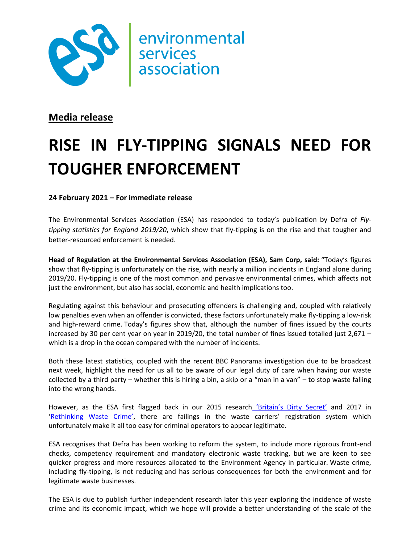

environmental

**Media release**

## **RISE IN FLY-TIPPING SIGNALS NEED FOR TOUGHER ENFORCEMENT**

**24 February 2021 – For immediate release**

The Environmental Services Association (ESA) has responded to today's publication by Defra of *Flytipping statistics for England 2019/20*, which show that fly-tipping is on the rise and that tougher and better-resourced enforcement is needed.

**Head of Regulation at the Environmental Services Association (ESA), Sam Corp, said:** "Today's figures show that fly-tipping is unfortunately on the rise, with nearly a million incidents in England alone during 2019/20. Fly-tipping is one of the most common and pervasive environmental crimes, which affects not just the environment, but also has social, economic and health implications too.

Regulating against this behaviour and prosecuting offenders is challenging and, coupled with relatively low penalties even when an offender is convicted, these factors unfortunately make fly-tipping a low-risk and high-reward crime. Today's figures show that, although the number of fines issued by the courts increased by 30 per cent year on year in 2019/20, the total number of fines issued totalled just 2,671 – which is a drop in the ocean compared with the number of incidents.

Both these latest statistics, coupled with the recent BBC Panorama investigation due to be broadcast next week, highlight the need for us all to be aware of our legal duty of care when having our waste collected by a third party – whether this is hiring a bin, a skip or a "man in a van" – to stop waste falling into the wrong hands.

However, as the ESA first flagged back in our 2015 research ['Britain's Dirty Secret'](http://www.esauk.org/application/files/4515/3589/6453/ESAET_Waste_Crime_Tackling_Britains_Dirty_Secret_LIVE.pdf) and 2017 in '[Rethinking Waste Crime](http://www.esauk.org/application/files/7515/3589/6448/20170502_Rethinking_Waste_Crime.pdf)', there are failings in the waste carriers' registration system which unfortunately make it all too easy for criminal operators to appear legitimate.

ESA recognises that Defra has been working to reform the system, to include more rigorous front-end checks, competency requirement and mandatory electronic waste tracking, but we are keen to see quicker progress and more resources allocated to the Environment Agency in particular. Waste crime, including fly-tipping, is not reducing and has serious consequences for both the environment and for legitimate waste businesses.

The ESA is due to publish further independent research later this year exploring the incidence of waste crime and its economic impact, which we hope will provide a better understanding of the scale of the